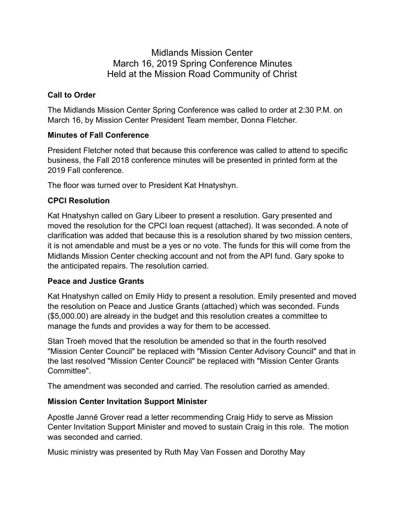# Midlands Mission Center March 16, 2019 Spring Conference Minutes Held at the Mission Road Community of Christ

### **Call to Order**

The Midlands Mission Center Spring Conference was called to order at 2:30 P.M. on March 16, by Mission Center President Team member, Donna Fletcher.

### **Minutes of Fall Conference**

President Fletcher noted that because this conference was called to attend to specific business, the Fall 2018 conference minutes will be presented in printed form at the 2019 Fall conference.

The floor was turned over to President Kat Hnatyshyn.

## **CPCI Resolution**

Kat Hnatyshyn called on Gary Libeer to present a resolution. Gary presented and moved the resolution for the CPCI loan request (attached). It was seconded. A note of clarification was added that because this is a resolution shared by two mission centers, it is not amendable and must be a yes or no vote. The funds for this will come from the Midlands Mission Center checking account and not from the API fund. Gary spoke to the anticipated repairs. The resolution carried.

## **Peace and Justice Grants**

Kat Hnatyshyn called on Emily Hidy to present a resolution. Emily presented and moved the resolution on Peace and Justice Grants (attached) which was seconded. Funds (\$5,000.00) are already in the budget and this resolution creates a committee to manage the funds and provides a way for them to be accessed.

Stan Troeh moved that the resolution be amended so that in the fourth resolved "Mission Center Council" be replaced with "Mission Center Advisory Council" and that in the last resolved "Mission Center Council" be replaced with "Mission Center Grants Committee".

The amendment was seconded and carried. The resolution carried as amended.

## **Mission Center Invitation Support Minister**

Apostle Janné Grover read a letter recommending Craig Hidy to serve as Mission Center Invitation Support Minister and moved to sustain Craig in this role. The motion was seconded and carried.

Music ministry was presented by Ruth May Van Fossen and Dorothy May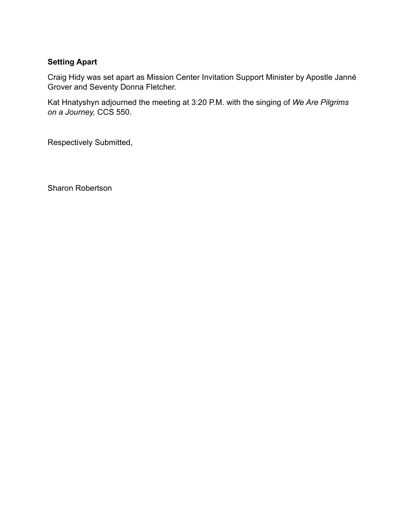#### **Setting Apart**

Craig Hidy was set apart as Mission Center Invitation Support Minister by Apostle Janné Grover and Seventy Donna Fletcher.

Kat Hnatyshyn adjourned the meeting at 3:20 P.M. with the singing of *We Are Pilgrims on a Journey,* CCS 550.

Respectively Submitted,

Sharon Robertson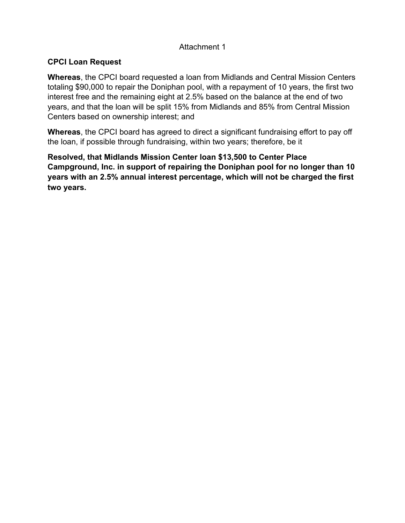### Attachment 1

### **CPCI Loan Request**

**Whereas**, the CPCI board requested a loan from Midlands and Central Mission Centers totaling \$90,000 to repair the Doniphan pool, with a repayment of 10 years, the first two interest free and the remaining eight at 2.5% based on the balance at the end of two years, and that the loan will be split 15% from Midlands and 85% from Central Mission Centers based on ownership interest; and

**Whereas**, the CPCI board has agreed to direct a significant fundraising effort to pay off the loan, if possible through fundraising, within two years; therefore, be it

**Resolved, that Midlands Mission Center loan \$13,500 to Center Place Campground, Inc. in support of repairing the Doniphan pool for no longer than 10 years with an 2.5% annual interest percentage, which will not be charged the first two years.**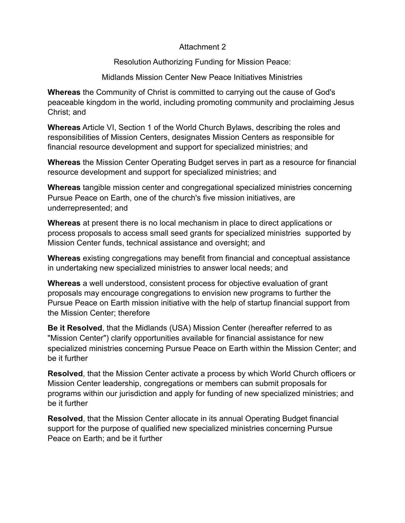#### Attachment 2

Resolution Authorizing Funding for Mission Peace:

Midlands Mission Center New Peace Initiatives Ministries

**Whereas** the Community of Christ is committed to carrying out the cause of God's peaceable kingdom in the world, including promoting community and proclaiming Jesus Christ; and

**Whereas** Article VI, Section 1 of the World Church Bylaws, describing the roles and responsibilities of Mission Centers, designates Mission Centers as responsible for financial resource development and support for specialized ministries; and

**Whereas** the Mission Center Operating Budget serves in part as a resource for financial resource development and support for specialized ministries; and

**Whereas** tangible mission center and congregational specialized ministries concerning Pursue Peace on Earth, one of the church's five mission initiatives, are underrepresented; and

**Whereas** at present there is no local mechanism in place to direct applications or process proposals to access small seed grants for specialized ministries supported by Mission Center funds, technical assistance and oversight; and

**Whereas** existing congregations may benefit from financial and conceptual assistance in undertaking new specialized ministries to answer local needs; and

**Whereas** a well understood, consistent process for objective evaluation of grant proposals may encourage congregations to envision new programs to further the Pursue Peace on Earth mission initiative with the help of startup financial support from the Mission Center; therefore

**Be it Resolved**, that the Midlands (USA) Mission Center (hereafter referred to as "Mission Center") clarify opportunities available for financial assistance for new specialized ministries concerning Pursue Peace on Earth within the Mission Center; and be it further

**Resolved**, that the Mission Center activate a process by which World Church officers or Mission Center leadership, congregations or members can submit proposals for programs within our jurisdiction and apply for funding of new specialized ministries; and be it further

**Resolved**, that the Mission Center allocate in its annual Operating Budget financial support for the purpose of qualified new specialized ministries concerning Pursue Peace on Earth; and be it further